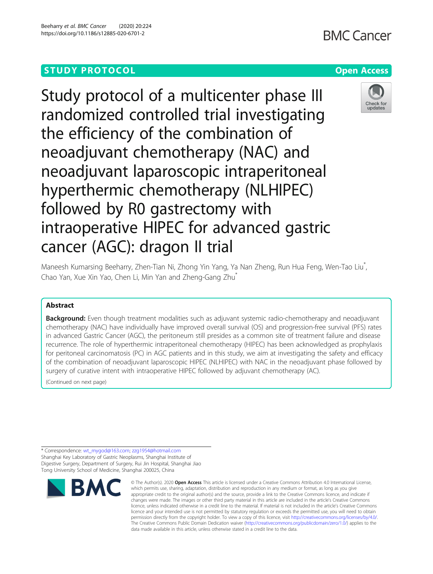# **STUDY PROTOCOL CONSUMING THE RESERVE ACCESS**

# **BMC Cancer**





Study protocol of a multicenter phase III randomized controlled trial investigating the efficiency of the combination of neoadjuvant chemotherapy (NAC) and neoadjuvant laparoscopic intraperitoneal hyperthermic chemotherapy (NLHIPEC) followed by R0 gastrectomy with intraoperative HIPEC for advanced gastric cancer (AGC): dragon II trial

Maneesh Kumarsing Beeharry, Zhen-Tian Ni, Zhong Yin Yang, Ya Nan Zheng, Run Hua Feng, Wen-Tao Liu<sup>\*</sup>, , Chao Yan, Xue Xin Yao, Chen Li, Min Yan and Zheng-Gang Zhu\*

# Abstract

**Background:** Even though treatment modalities such as adjuvant systemic radio-chemotherapy and neoadjuvant chemotherapy (NAC) have individually have improved overall survival (OS) and progression-free survival (PFS) rates in advanced Gastric Cancer (AGC), the peritoneum still presides as a common site of treatment failure and disease recurrence. The role of hyperthermic intraperitoneal chemotherapy (HIPEC) has been acknowledged as prophylaxis for peritoneal carcinomatosis (PC) in AGC patients and in this study, we aim at investigating the safety and efficacy of the combination of neoadjuvant laparoscopic HIPEC (NLHIPEC) with NAC in the neoadjuvant phase followed by surgery of curative intent with intraoperative HIPEC followed by adjuvant chemotherapy (AC).

(Continued on next page)

\* Correspondence: [wt\\_mygod@163.com](mailto:wt_mygod@163.com); [zzg1954@hotmail.com](mailto:zzg1954@hotmail.com) Shanghai Key Laboratory of Gastric Neoplasms, Shanghai Institute of Digestive Surgery, Department of Surgery, Rui Jin Hospital, Shanghai Jiao Tong University School of Medicine, Shanghai 200025, China



© The Author(s), 2020 **Open Access** This article is licensed under a Creative Commons Attribution 4.0 International License, which permits use, sharing, adaptation, distribution and reproduction in any medium or format, as long as you give appropriate credit to the original author(s) and the source, provide a link to the Creative Commons licence, and indicate if changes were made. The images or other third party material in this article are included in the article's Creative Commons licence, unless indicated otherwise in a credit line to the material. If material is not included in the article's Creative Commons licence and your intended use is not permitted by statutory regulation or exceeds the permitted use, you will need to obtain permission directly from the copyright holder. To view a copy of this licence, visit [http://creativecommons.org/licenses/by/4.0/.](http://creativecommons.org/licenses/by/4.0/) The Creative Commons Public Domain Dedication waiver [\(http://creativecommons.org/publicdomain/zero/1.0/](http://creativecommons.org/publicdomain/zero/1.0/)) applies to the data made available in this article, unless otherwise stated in a credit line to the data.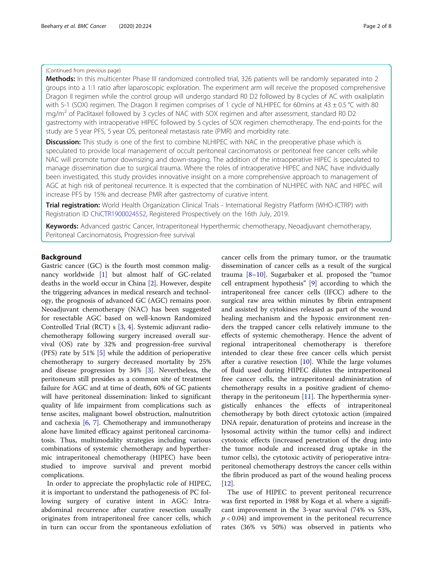# (Continued from previous page)

Methods: In this multicenter Phase III randomized controlled trial, 326 patients will be randomly separated into 2 groups into a 1:1 ratio after laparoscopic exploration. The experiment arm will receive the proposed comprehensive Dragon II regimen while the control group will undergo standard R0 D2 followed by 8 cycles of AC with oxaliplatin with S-1 (SOX) regimen. The Dragon II regimen comprises of 1 cycle of NLHIPEC for 60mins at 43 ± 0.5 °C with 80  $mg/m<sup>2</sup>$  of Paclitaxel followed by 3 cycles of NAC with SOX regimen and after assessment, standard R0 D2 gastrectomy with intraoperative HIPEC followed by 5 cycles of SOX regimen chemotherapy. The end-points for the study are 5 year PFS, 5 year OS, peritoneal metastasis rate (PMR) and morbidity rate.

**Discussion:** This study is one of the first to combine NLHIPEC with NAC in the preoperative phase which is speculated to provide local management of occult peritoneal carcinomatosis or peritoneal free cancer cells while NAC will promote tumor downsizing and down-staging. The addition of the intraoperative HIPEC is speculated to manage dissemination due to surgical trauma. Where the roles of intraoperative HIPEC and NAC have individually been investigated, this study provides innovative insight on a more comprehensive approach to management of AGC at high risk of peritoneal recurrence. It is expected that the combination of NLHIPEC with NAC and HIPEC will increase PFS by 15% and decrease PMR after gastrectomy of curative intent.

Trial registration: World Health Organization Clinical Trials - International Registry Platform (WHO-ICTRP) with Registration ID [ChiCTR1900024552](http://www.chictr.org.cn/showprojen.aspx?proj=40134), Registered Prospectively on the 16th July, 2019.

Keywords: Advanced gastric Cancer, Intraperitoneal Hyperthermic chemotherapy, Neoadjuvant chemotherapy, Peritoneal Carcinomatosis, Progression-free survival

# Background

Gastric cancer (GC) is the fourth most common malignancy worldwide [[1\]](#page-6-0) but almost half of GC-related deaths in the world occur in China [[2\]](#page-6-0). However, despite the triggering advances in medical research and technology, the prognosis of advanced GC (AGC) remains poor. Neoadjuvant chemotherapy (NAC) has been suggested for resectable AGC based on well-known Randomized Controlled Trial (RCT) s [\[3](#page-6-0), [4\]](#page-6-0). Systemic adjuvant radiochemotherapy following surgery increased overall survival (OS) rate by 32% and progression-free survival (PFS) rate by 51% [[5\]](#page-6-0) while the addition of perioperative chemotherapy to surgery decreased mortality by 25% and disease progression by 34% [[3\]](#page-6-0). Nevertheless, the peritoneum still presides as a common site of treatment failure for AGC and at time of death, 60% of GC patients will have peritoneal dissemination: linked to significant quality of life impairment from complications such as tense ascites, malignant bowel obstruction, malnutrition and cachexia [\[6](#page-6-0), [7](#page-6-0)]. Chemotherapy and immunotherapy alone have limited efficacy against peritoneal carcinomatosis. Thus, multimodality strategies including various combinations of systemic chemotherapy and hyperthermic intraperitoneal chemotherapy (HIPEC) have been studied to improve survival and prevent morbid complications.

In order to appreciate the prophylactic role of HIPEC, it is important to understand the pathogenesis of PC following surgery of curative intent in AGC: Intraabdominal recurrence after curative resection usually originates from intraperitoneal free cancer cells, which in turn can occur from the spontaneous exfoliation of cancer cells from the primary tumor, or the traumatic dissemination of cancer cells as a result of the surgical trauma [[8](#page-6-0)–[10](#page-6-0)]. Sugarbaker et al. proposed the "tumor cell entrapment hypothesis" [\[9](#page-6-0)] according to which the intraperitoneal free cancer cells (IFCC) adhere to the surgical raw area within minutes by fibrin entrapment and assisted by cytokines released as part of the wound healing mechanism and the hypoxic environment renders the trapped cancer cells relatively immune to the effects of systemic chemotherapy. Hence the advent of regional intraperitoneal chemotherapy is therefore intended to clear these free cancer cells which persist after a curative resection  $[10]$ . While the large volumes of fluid used during HIPEC dilutes the intraperitoneal free cancer cells, the intraperitoneal administration of chemotherapy results in a positive gradient of chemotherapy in the peritoneum [\[11](#page-6-0)]. The hyperthermia synergistically enhances the effects of intraperitoneal chemotherapy by both direct cytotoxic action (impaired DNA repair, denaturation of proteins and increase in the lysosomal activity within the tumor cells) and indirect cytotoxic effects (increased penetration of the drug into the tumor nodule and increased drug uptake in the tumor cells), the cytotoxic activity of perioperative intraperitoneal chemotherapy destroys the cancer cells within the fibrin produced as part of the wound healing process [[12\]](#page-6-0).

The use of HIPEC to prevent peritoneal recurrence was first reported in 1988 by Koga et al. where a significant improvement in the 3-year survival (74% vs 53%,  $p < 0.04$ ) and improvement in the peritoneal recurrence rates (36% vs 50%) was observed in patients who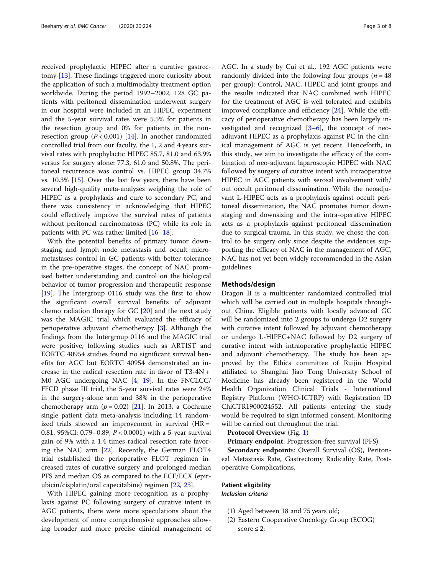received prophylactic HIPEC after a curative gastrectomy [[13\]](#page-6-0). These findings triggered more curiosity about the application of such a multimodality treatment option worldwide. During the period 1992–2002, 128 GC patients with peritoneal dissemination underwent surgery in our hospital were included in an HIPEC experiment and the 5-year survival rates were 5.5% for patients in the resection group and 0% for patients in the nonresection group  $(P < 0.001)$  [\[14](#page-7-0)]. In another randomized controlled trial from our faculty, the 1, 2 and 4 years survival rates with prophylactic HIPEC 85.7, 81.0 and 63.9% versus for surgery alone: 77.3, 61.0 and 50.8%. The peritoneal recurrence was control vs. HIPEC group 34.7% vs. 10.3% [[15\]](#page-7-0). Over the last few years, there have been several high-quality meta-analyses weighing the role of HIPEC as a prophylaxis and cure to secondary PC, and there was consistency in acknowledging that HIPEC could effectively improve the survival rates of patients without peritoneal carcinomatosis (PC) while its role in patients with PC was rather limited [[16](#page-7-0)–[18\]](#page-7-0).

With the potential benefits of primary tumor downstaging and lymph node metastasis and occult micrometastases control in GC patients with better tolerance in the pre-operative stages, the concept of NAC promised better understanding and control on the biological behavior of tumor progression and therapeutic response [[19\]](#page-7-0). The Intergroup 0116 study was the first to show the significant overall survival benefits of adjuvant chemo radiation therapy for GC [[20](#page-7-0)] and the next study was the MAGIC trial which evaluated the efficacy of perioperative adjuvant chemotherapy [[3\]](#page-6-0). Although the findings from the Intergroup 0116 and the MAGIC trial were positive, following studies such as ARTIST and EORTC 40954 studies found no significant survival benefits for AGC but EORTC 40954 demonstrated an increase in the radical resection rate in favor of T3-4N + M0 AGC undergoing NAC [[4,](#page-6-0) [19\]](#page-7-0). In the FNCLCC/ FFCD phase III trial, the 5-year survival rates were 24% in the surgery-alone arm and 38% in the perioperative chemotherapy arm  $(p = 0.02)$  [[21](#page-7-0)]. In 2013, a Cochrane single patient data meta-analysis including 14 randomized trials showed an improvement in survival (HR = 0.81, 95%CI: 0.79–0.89, P < 0.0001) with a 5-year survival gain of 9% with a 1.4 times radical resection rate favoring the NAC arm [[22](#page-7-0)]. Recently, the German FLOT4 trial established the perioperative FLOT regimen increased rates of curative surgery and prolonged median PFS and median OS as compared to the ECF/ECX (epirubicin/cisplatin/oral capecitabine) regimen [[22,](#page-7-0) [23\]](#page-7-0).

With HIPEC gaining more recognition as a prophylaxis against PC following surgery of curative intent in AGC patients, there were more speculations about the development of more comprehensive approaches allowing broader and more precise clinical management of AGC. In a study by Cui et al., 192 AGC patients were randomly divided into the following four groups ( $n = 48$ ) per group): Control, NAC, HIPEC and joint groups and the results indicated that NAC combined with HIPEC for the treatment of AGC is well tolerated and exhibits improved compliance and efficiency [[24\]](#page-7-0). While the efficacy of perioperative chemotherapy has been largely investigated and recognized  $[3-6]$  $[3-6]$  $[3-6]$  $[3-6]$ , the concept of neoadjuvant HIPEC as a prophylaxis against PC in the clinical management of AGC is yet recent. Henceforth, in this study, we aim to investigate the efficacy of the combination of neo-adjuvant laparoscopic HIPEC with NAC followed by surgery of curative intent with intraoperative HIPEC in AGC patients with serosal involvement with/ out occult peritoneal dissemination. While the neoadjuvant L-HIPEC acts as a prophylaxis against occult peritoneal dissemination, the NAC promotes tumor downstaging and downsizing and the intra-operative HIPEC acts as a prophylaxis against peritoneal dissemination due to surgical trauma. In this study, we chose the control to be surgery only since despite the evidences supporting the efficacy of NAC in the management of AGC, NAC has not yet been widely recommended in the Asian guidelines.

#### Methods/design

Dragon II is a multicenter randomized controlled trial which will be carried out in multiple hospitals throughout China. Eligible patients with locally advanced GC will be randomized into 2 groups to undergo D2 surgery with curative intent followed by adjuvant chemotherapy or undergo L-HIPEC+NAC followed by D2 surgery of curative intent with intraoperative prophylactic HIPEC and adjuvant chemotherapy. The study has been approved by the Ethics committee of Ruijin Hospital affiliated to Shanghai Jiao Tong University School of Medicine has already been registered in the World Health Organization Clinical Trials - International Registry Platform (WHO-ICTRP) with Registration ID ChiCTR1900024552. All patients entering the study would be required to sign informed consent. Monitoring will be carried out throughout the trial.

Protocol Overview (Fig. [1](#page-3-0))

Primary endpoint: Progression-free survival (PFS)

Secondary endpoints: Overall Survival (OS), Peritoneal Metastasis Rate, Gastrectomy Radicality Rate, Postoperative Complications.

# Patient eligibility Inclusion criteria

- (1) Aged between 18 and 75 years old;
- (2) Eastern Cooperative Oncology Group (ECOG) score  $\leq 2$ ;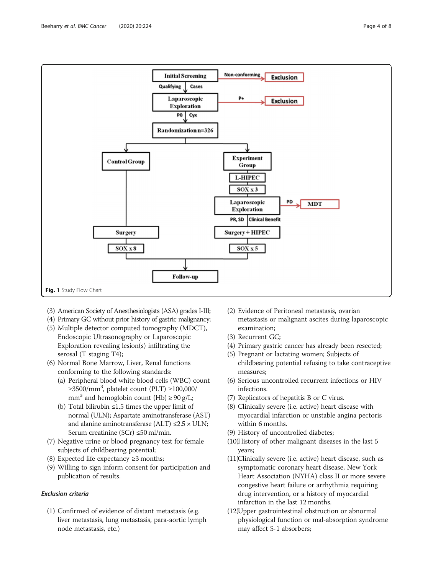<span id="page-3-0"></span>

- (3) American Society of Anesthesiologists (ASA) grades I-III;
- (4) Primary GC without prior history of gastric malignancy; (5) Multiple detector computed tomography (MDCT), Endoscopic Ultrasonography or Laparoscopic Exploration revealing lesion(s) infiltrating the
- serosal (T staging T4); (6) Normal Bone Marrow, Liver, Renal functions conforming to the following standards:
	- (a) Peripheral blood white blood cells (WBC) count ≥3500/mm<sup>3</sup>, platelet count (PLT) ≥100,000/ mm<sup>3</sup> and hemoglobin count (Hb)  $\geq$  90 g/L;
	- (b) Total bilirubin  $\leq 1.5$  times the upper limit of normal (ULN); Aspartate aminotransferase (AST) and alanine aminotransferase (ALT)  $\leq$ 2.5  $\times$  ULN; Serum creatinine (SCr) ≤50 ml/min.
- (7) Negative urine or blood pregnancy test for female subjects of childbearing potential;
- (8) Expected life expectancy  $\geq$ 3 months;
- (9) Willing to sign inform consent for participation and publication of results.

# Exclusion criteria

(1) Confirmed of evidence of distant metastasis (e.g. liver metastasis, lung metastasis, para-aortic lymph node metastasis, etc.)

- (2) Evidence of Peritoneal metastasis, ovarian metastasis or malignant ascites during laparoscopic examination;
- (3) Recurrent GC;
- (4) Primary gastric cancer has already been resected;
- (5) Pregnant or lactating women; Subjects of childbearing potential refusing to take contraceptive measures;
- (6) Serious uncontrolled recurrent infections or HIV infections.
- (7) Replicators of hepatitis B or C virus.
- (8) Clinically severe (i.e. active) heart disease with myocardial infarction or unstable angina pectoris within 6 months.
- (9) History of uncontrolled diabetes;
- (10)History of other malignant diseases in the last 5 years;
- (11)Clinically severe (i.e. active) heart disease, such as symptomatic coronary heart disease, New York Heart Association (NYHA) class II or more severe congestive heart failure or arrhythmia requiring drug intervention, or a history of myocardial infarction in the last 12 months.
- (12)Upper gastrointestinal obstruction or abnormal physiological function or mal-absorption syndrome may affect S-1 absorbers;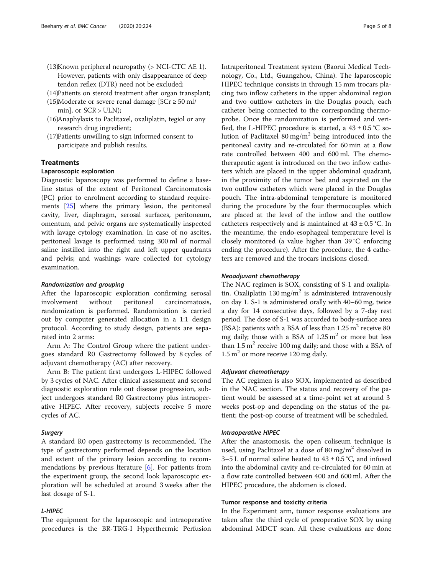- (13)Known peripheral neuropathy (> NCI-CTC AE 1). However, patients with only disappearance of deep tendon reflex (DTR) need not be excluded;
- (14)Patients on steroid treatment after organ transplant;
- (15)Moderate or severe renal damage  $[SCr \ge 50$  ml/ min], or SCR > ULN);
- (16)Anaphylaxis to Paclitaxel, oxaliplatin, tegiol or any research drug ingredient;
- (17)Patients unwilling to sign informed consent to participate and publish results.

# **Treatments**

# Laparoscopic exploration

Diagnostic laparoscopy was performed to define a baseline status of the extent of Peritoneal Carcinomatosis (PC) prior to enrolment according to standard requirements [[25\]](#page-7-0) where the primary lesion, the peritoneal cavity, liver, diaphragm, serosal surfaces, peritoneum, omentum, and pelvic organs are systematically inspected with lavage cytology examination. In case of no ascites, peritoneal lavage is performed using 300 ml of normal saline instilled into the right and left upper quadrants and pelvis; and washings ware collected for cytology examination.

#### Randomization and grouping

After the laparoscopic exploration confirming serosal involvement without peritoneal carcinomatosis, randomization is performed. Randomization is carried out by computer generated allocation in a 1:1 design protocol. According to study design, patients are separated into 2 arms:

Arm A: The Control Group where the patient undergoes standard R0 Gastrectomy followed by 8 cycles of adjuvant chemotherapy (AC) after recovery.

Arm B: The patient first undergoes L-HIPEC followed by 3 cycles of NAC. After clinical assessment and second diagnostic exploration rule out disease progression, subject undergoes standard R0 Gastrectomy plus intraoperative HIPEC. After recovery, subjects receive 5 more cycles of AC.

#### Surgery

A standard R0 open gastrectomy is recommended. The type of gastrectomy performed depends on the location and extent of the primary lesion according to recommendations by previous lterature  $[6]$  $[6]$ . For patients from the experiment group, the second look laparoscopic exploration will be scheduled at around 3 weeks after the last dosage of S-1.

# L-HIPEC

The equipment for the laparoscopic and intraoperative procedures is the BR-TRG-I Hyperthermic Perfusion Intraperitoneal Treatment system (Baorui Medical Technology, Co., Ltd., Guangzhou, China). The laparoscopic HIPEC technique consists in through 15 mm trocars placing two inflow catheters in the upper abdominal region and two outflow catheters in the Douglas pouch, each catheter being connected to the corresponding thermoprobe. Once the randomization is performed and verified, the L-HIPEC procedure is started, a  $43 \pm 0.5$  °C solution of Paclitaxel  $80 \text{ mg/m}^2$  being introduced into the peritoneal cavity and re-circulated for 60 min at a flow rate controlled between 400 and 600 ml. The chemotherapeutic agent is introduced on the two inflow catheters which are placed in the upper abdominal quadrant, in the proximity of the tumor bed and aspirated on the two outflow catheters which were placed in the Douglas pouch. The intra-abdominal temperature is monitored during the procedure by the four thermocouples which are placed at the level of the inflow and the outflow catheters respectively and is maintained at  $43 \pm 0.5$  °C. In the meantime, the endo-esophageal temperature level is closely monitored (a value higher than 39 °C enforcing ending the procedure). After the procedure, the 4 catheters are removed and the trocars incisions closed.

# Neoadjuvant chemotherapy

The NAC regimen is SOX, consisting of S-1 and oxaliplatin. Oxaliplatin 130 mg/m<sup>2</sup> is administered intravenously on day 1. S-1 is administered orally with 40–60 mg, twice a day for 14 consecutive days, followed by a 7-day rest period. The dose of S-1 was accorded to body-surface area (BSA): patients with a BSA of less than  $1.25 \text{ m}^2$  receive 80 mg daily; those with a BSA of  $1.25 \text{ m}^2$  or more but less than  $1.5 \text{ m}^2$  receive 100 mg daily; and those with a BSA of  $1.5$  m<sup>2</sup> or more receive 120 mg daily.

# Adjuvant chemotherapy

The AC regimen is also SOX, implemented as described in the NAC section. The status and recovery of the patient would be assessed at a time-point set at around 3 weeks post-op and depending on the status of the patient; the post-op course of treatment will be scheduled.

#### Intraoperative HIPEC

After the anastomosis, the open coliseum technique is used, using Paclitaxel at a dose of 80 mg/m<sup>2</sup> dissolved in 3–5 L of normal saline heated to  $43 \pm 0.5$  °C, and infused into the abdominal cavity and re-circulated for 60 min at a flow rate controlled between 400 and 600 ml. After the HIPEC procedure, the abdomen is closed.

# Tumor response and toxicity criteria

In the Experiment arm, tumor response evaluations are taken after the third cycle of preoperative SOX by using abdominal MDCT scan. All these evaluations are done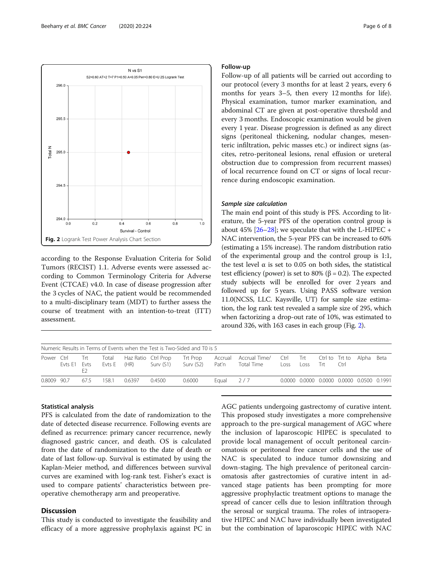

according to the Response Evaluation Criteria for Solid Tumors (RECIST) 1.1. Adverse events were assessed according to Common Terminology Criteria for Adverse Event (CTCAE) v4.0. In case of disease progression after the 3 cycles of NAC, the patient would be recommended to a multi-disciplinary team (MDT) to further assess the course of treatment with an intention-to-treat (ITT) assessment.

#### Follow-up

Follow-up of all patients will be carried out according to our protocol (every 3 months for at least 2 years, every 6 months for years 3–5, then every 12 months for life). Physical examination, tumor marker examination, and abdominal CT are given at post-operative threshold and every 3 months. Endoscopic examination would be given every 1 year. Disease progression is defined as any direct signs (peritoneal thickening, nodular changes, mesenteric infiltration, pelvic masses etc.) or indirect signs (ascites, retro-peritoneal lesions, renal effusion or ureteral obstruction due to compression from recurrent masses) of local recurrence found on CT or signs of local recurrence during endoscopic examination.

## Sample size calculation

The main end point of this study is PFS. According to literature, the 5-year PFS of the operation control group is about 45%  $[26-28]$  $[26-28]$  $[26-28]$ ; we speculate that with the L-HIPEC + NAC intervention, the 5-year PFS can be increased to 60% (estimating a 15% increase). The random distribution ratio of the experimental group and the control group is 1:1, the test level  $\alpha$  is set to 0.05 on both sides, the statistical test efficiency (power) is set to 80% (β = 0.2). The expected study subjects will be enrolled for over 2 years and followed up for 5 years. Using PASS software version 11.0(NCSS, LLC. Kaysville, UT) for sample size estimation, the log rank test revealed a sample size of 295, which when factorizing a drop-out rate of 10%, was estimated to around 326, with 163 cases in each group (Fig. 2).

|             | Numeric Results in Terms of Events when the Test is Two-Sided and T0 is 5 |     |                 |                             |           |                       |                  |                                  |      |                        |                                           |      |  |  |  |
|-------------|---------------------------------------------------------------------------|-----|-----------------|-----------------------------|-----------|-----------------------|------------------|----------------------------------|------|------------------------|-------------------------------------------|------|--|--|--|
| Power Ctrl  | Evts E1 Evts                                                              | Trt | Total<br>Fyts F | Haz Ratio Ctrl Prop<br>(HR) | Surv (S1) | Trt Prop<br>Surv (S2) | Accrual<br>Pat'n | Accrual Time/ Ctrl<br>Total Time | Loss | <b>Trt</b><br>$\log s$ | Ctrl to Trt to Alpha Beta<br>Trt          | Ctrl |  |  |  |
| 0.8009 90.7 |                                                                           | 675 | 58.1            | 0.6397                      | 0.4500    | 0.6000                | Equal            | 2/7                              |      |                        | 0.0000 0.0000 0.0000 0.0000 0.0500 0.1991 |      |  |  |  |

# Statistical analysis

PFS is calculated from the date of randomization to the date of detected disease recurrence. Following events are defined as recurrence: primary cancer recurrence, newly diagnosed gastric cancer, and death. OS is calculated from the date of randomization to the date of death or date of last follow-up. Survival is estimated by using the Kaplan-Meier method, and differences between survival curves are examined with log-rank test. Fisher's exact is used to compare patients' characteristics between preoperative chemotherapy arm and preoperative.

# **Discussion**

This study is conducted to investigate the feasibility and efficacy of a more aggressive prophylaxis against PC in AGC patients undergoing gastrectomy of curative intent. This proposed study investigates a more comprehensive approach to the pre-surgical management of AGC where the inclusion of laparoscopic HIPEC is speculated to provide local management of occult peritoneal carcinomatosis or peritoneal free cancer cells and the use of NAC is speculated to induce tumor downsizing and down-staging. The high prevalence of peritoneal carcinomatosis after gastrectomies of curative intent in advanced stage patients has been prompting for more aggressive prophylactic treatment options to manage the spread of cancer cells due to lesion infiltration through the serosal or surgical trauma. The roles of intraoperative HIPEC and NAC have individually been investigated but the combination of laparoscopic HIPEC with NAC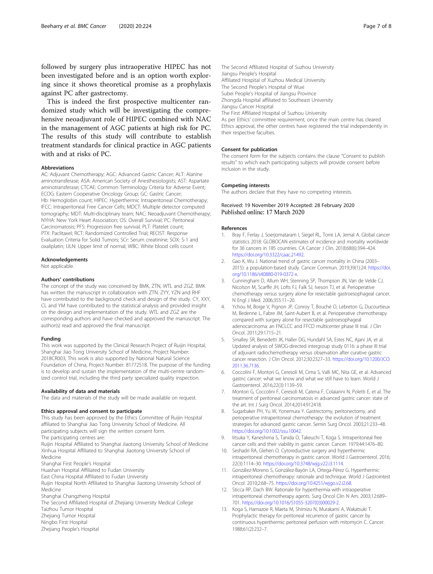<span id="page-6-0"></span>followed by surgery plus intraoperative HIPEC has not been investigated before and is an option worth exploring since it shows theoretical promise as a prophylaxis against PC after gastrectomy.

This is indeed the first prospective multicenter randomized study which will be investigating the comprehensive neoadjuvant role of HIPEC combined with NAC in the management of AGC patients at high risk for PC. The results of this study will contribute to establish treatment standards for clinical practice in AGC patients with and at risks of PC.

#### Abbreviations

AC: Adjuvant Chemotherapy; AGC: Advanced Gastric Cancer; ALT: Alanine aminotransferase; ASA: American Society of Anesthesiologists; AST: Aspartate aminotransferase; CTCAE: Common Terminology Criteria for Adverse Event; ECOG: Eastern Cooperative Oncology Group; GC: Gastric Cancer; Hb: Hemoglobin count; HIPEC: Hyperthermic Intraperitoneal Chemotherapy; IFCC: Intraperitoneal Free Cancer Cells; MDCT: Multiple detector computed tomography; MDT: Multi-disciplinary team; NAC: Neoadjuvant Chemotherapy; NYHA: New York Heart Association; OS: Overall Survival; PC: Peritoneal Carcinomatosis; PFS: Progression free survival; PLT: Platelet count; PTX: Paclitaxel; RCT: Randomized Controlled Trial; RECIST: Response Evaluation Criteria for Solid Tumors; SCr: Serum creatinine; SOX: S-1 and oxaliplatin; ULN: Upper limit of normal; WBC: White blood cells count

### Acknowledgements

Not applicable.

#### Authors' contributions

The concept of the study was conceived by BMK, ZTN, WTL and ZGZ. BMK has written the manuscript in collaboration with ZTN. ZYY, YZN and RHF have contributed to the background check and design of the study. CY, XXY, CL and YM have contributed to the statistical analysis and provided insight on the design and implementation of the study. WTL and ZGZ are the corresponding authors and have checked and approved the manuscript. The author(s) read and approved the final manuscript.

#### Funding

This work was supported by the Clinical Research Project of Ruijin Hospital, Shanghai Jiao Tong University School of Medicine, Project Number: 2018CR003; This work is also supported by National Natural Science Foundation of China, Project Number: 81772518. The purpose of the funding is to develop and sustain the implementation of the multi-centre randomized control trial, including the third party specialized quality inspection.

#### Availability of data and materials

The data and materials of the study will be made available on request.

#### Ethics approval and consent to participate

This study has been approved by the Ethics Committee of Ruijin Hospital affiliated to Shanghai Jiao Tong University School of Medicine. All participating subjects will sign the written consent form. The participating centres are: Ruijin Hospital Affiliated to Shanghai Jiaotong University School of Medicine Xinhua Hospital Affiliated to Shanghai Jiaotong University School of Medicine Shanghai First People's Hospital Huashan Hospital Affiliated to Fudan University East China Hospital Affiliated to Fudan University Ruijin Hospital North Affiliated to Shanghai Jiaotong University School of Medicine Shanghai Changzheng Hospital

The Second Affiliated Hospital of Zhejiang University Medical College Taizhou Tumor Hospital

Zhejiang Tumor Hospital Ningbo First Hospital

Zhejiang People's Hospital

The Second Affiliated Hospital of Suzhou University Jiangsu People's Hospital Affiliated Hospital of Xuzhou Medical University The Second People's Hospital of Wuxi Subei People's Hospital of Jiangsu Province Zhongda Hospital affiliated to Southeast University Jiangsu Cancer Hospital The First Affiliated Hospital of Suzhou University As per Ethics' committee requirement, once the main centre has cleared Ethics approval, the other centres have registered the trial independently in

#### Consent for publication

their respective faculties.

The consent form for the subjects contains the clause "Consent to publish results" to which each participating subjects will provide consent before inclusion in the study.

#### Competing interests

The authors declare that they have no competing interests.

## Received: 19 November 2019 Accepted: 28 February 2020 Published online: 17 March 2020

#### References

- 1. Bray F, Ferlay J, Soerjomataram I, Siegel RL, Torre LA, Jemal A. Global cancer statistics 2018: GLOBOCAN estimates of incidence and mortality worldwide for 36 cancers in 185 countries. CA Cancer J Clin. 2018;68(6):394–424. [https://doi.org/10.3322/caac.21492.](https://doi.org/10.3322/caac.21492)
- 2. Gao K, Wu J. National trend of gastric cancer mortality in China (2003– 2015): a population-based study. Cancer Commun. 2019;39(1):24. [https://doi.](https://doi.org/10.1186/s40880-019-0372-x) [org/10.1186/s40880-019-0372-x.](https://doi.org/10.1186/s40880-019-0372-x)
- 3. Cunningham D, Allum WH, Stenning SP, Thompson JN, Van de Velde CJ, Nicolson M, Scarffe JH, Lofts FJ, Falk SJ, Iveson TJ, et al. Perioperative chemotherapy versus surgery alone for resectable gastroesophageal cancer. N Engl J Med. 2006;355:11–20.
- 4. Ychou M, Boige V, Pignon JP, Conroy T, Bouché O, Lebreton G, Ducourtieux M, Bedenne L, Fabre JM, Saint-Aubert B, et al. Perioperative chemotherapy compared with surgery alone for resectable gastroesophageal adenocarcinoma: an FNCLCC and FFCD multicenter phase III trial. J Clin Oncol. 2011;29:1715–21.
- 5. Smalley SR, Benedetti JK, Haller DG, Hundahl SA, Estes NC, Ajani JA, et al. Updated analysis of SWOG-directed intergroup study 0116: a phase III trial of adjuvant radiochemotherapy versus observation after curative gastric cancer resection. J Clin Oncol. 2012;30:2327–33. [https://doi.org/10.1200/JCO.](https://doi.org/10.1200/JCO.2011.36.7136) [2011.36.7136](https://doi.org/10.1200/JCO.2011.36.7136).
- 6. Coccolini F, Montori G, Ceresoli M, Cima S, Valli MC, Nita GE, et al. Advanced gastric cancer: what we know and what we still have to learn. World J Gastroenterol. 2016;22(3):1139–59.
- 7. Montori G, Coccolini F, Ceresoli M, Catena F, Colaianni N, Poletti E, et al. The treatment of peritoneal carcinomatosis in advanced gastric cancer: state of the art. Int J Surg Oncol. 2014;2014:912418.
- Sugarbaker PH, Yu W, Yonemura Y. Gastrectomy, peritonectomy, and perioperative intraperitoneal chemotherapy: the evolution of treatment strategies for advanced gastric cancer. Semin Surg Oncol. 2003;21:233–48. <https://doi.org/10.1002/ssu.10042>.
- 9. Iitsuka Y, Kaneshima S, Tanida O, Takeuchi T, Koga S. Intraperitoneal free cancer cells and their viability in gastric cancer. Cancer. 1979;44:1476–80.
- 10. Seshadri RA, Glehen O. Cytoreductive surgery and hyperthermic intraperitoneal chemotherapy in gastric cancer. World J Gastroenterol. 2016; 22(3):1114–30. <https://doi.org/10.3748/wjg.v22.i3.1114>.
- 11. González-Moreno S, González-Bayón LA, Ortega-Pérez G. Hyperthermic intraperitoneal chemotherapy: rationale and technique. World J Gastrointest Oncol. 2010;2:68–75. <https://doi.org/10.4251/wjgo.v2.i2.68>.
- 12. Sticca RP, Dach BW. Rationale for hyperthermia with intraoperative intraperitoneal chemotherapy agents. Surg Oncol Clin N Am. 2003;12:689– 701. [https://doi.org/10.1016/S1055-3207\(03\)00029-2](https://doi.org/10.1016/S1055-3207(03)00029-2).
- 13. Koga S, Hamazoe R, Maeta M, Shimizu N, Murakami A, Wakatsuki T. Prophylactic therapy for peritoneal recurrence of gastric cancer by continuous hyperthermic peritoneal perfusion with mitomycin C. Cancer. 1988;61(2):232–7.